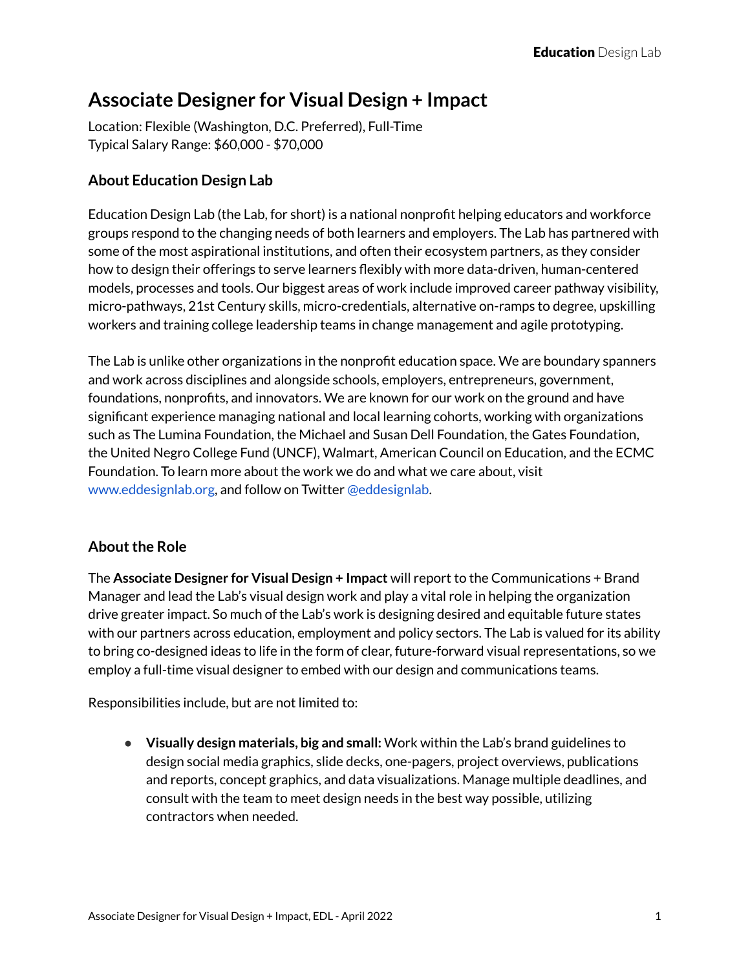# **Associate Designer for Visual Design + Impact**

Location: Flexible (Washington, D.C. Preferred), Full-Time Typical Salary Range: \$60,000 - \$70,000

## **About Education Design Lab**

Education Design Lab (the Lab, for short) is a national nonprofit helping educators and workforce groups respond to the changing needs of both learners and employers. The Lab has partnered with some of the most aspirational institutions, and often their ecosystem partners, as they consider how to design their offerings to serve learners flexibly with more data-driven, human-centered models, processes and tools. Our biggest areas of work include improved career pathway visibility, micro-pathways, 21st Century skills, micro-credentials, alternative on-ramps to degree, upskilling workers and training college leadership teams in change management and agile prototyping.

The Lab is unlike other organizations in the nonprofit education space. We are boundary spanners and work across disciplines and alongside schools, employers, entrepreneurs, government, foundations, nonprofits, and innovators. We are known for our work on the ground and have significant experience managing national and local learning cohorts, working with organizations such as The Lumina Foundation, the Michael and Susan Dell Foundation, the Gates Foundation, the United Negro College Fund (UNCF), Walmart, American Council on Education, and the ECMC Foundation. To learn more about the work we do and what we care about, visit www.eddesignlab.org, and follow on Twitter @eddesignlab.

## **About the Role**

The **Associate Designer for Visual Design + Impact** will report to the Communications + Brand Manager and lead the Lab's visual design work and play a vital role in helping the organization drive greater impact. So much of the Lab's work is designing desired and equitable future states with our partners across education, employment and policy sectors. The Lab is valued for its ability to bring co-designed ideas to life in the form of clear, future-forward visual representations, so we employ a full-time visual designer to embed with our design and communications teams.

Responsibilities include, but are not limited to:

● **Visually design materials, big and small:** Work within the Lab's brand guidelines to design social media graphics, slide decks, one-pagers, project overviews, publications and reports, concept graphics, and data visualizations. Manage multiple deadlines, and consult with the team to meet design needs in the best way possible, utilizing contractors when needed.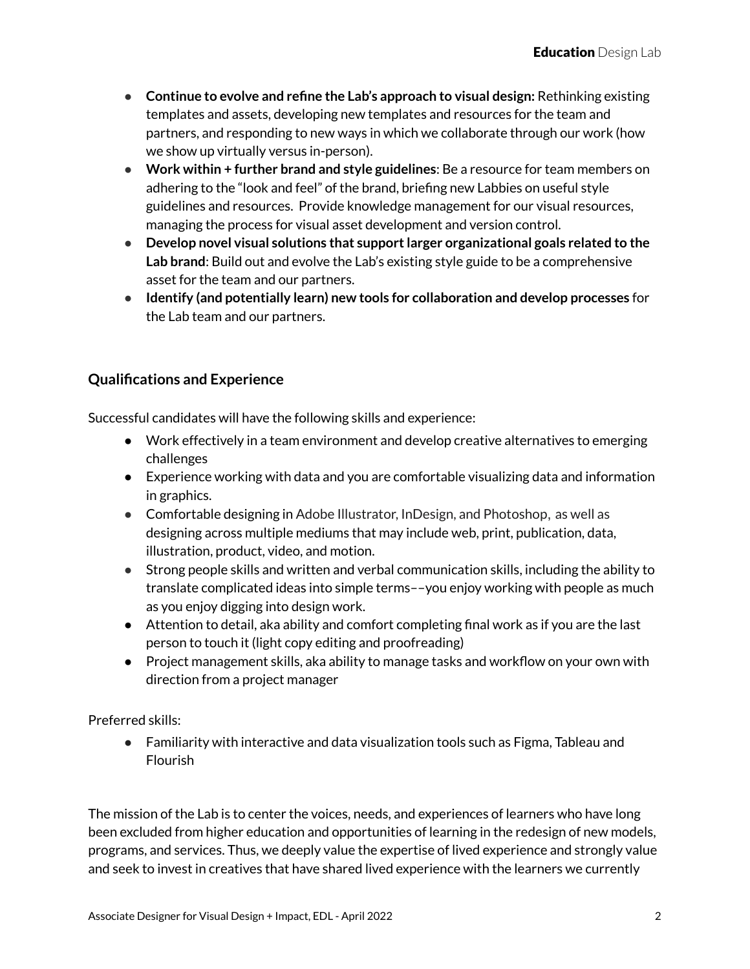- **Continue to evolve and refine the Lab's approach to visual design:** Rethinking existing templates and assets, developing new templates and resources for the team and partners, and responding to new ways in which we collaborate through our work (how we show up virtually versus in-person).
- **Work within + further brand and style guidelines**: Be a resource for team members on adhering to the "look and feel" of the brand, briefing new Labbies on useful style guidelines and resources. Provide knowledge management for our visual resources, managing the process for visual asset development and version control.
- **Develop novel visual solutions that supportlarger organizational goals related to the Lab brand**: Build out and evolve the Lab's existing style guide to be a comprehensive asset for the team and our partners.
- **● Identify (and potentially learn) new tools for collaboration and develop processes** for the Lab team and our partners.

## **Qualifications and Experience**

Successful candidates will have the following skills and experience:

- Work effectively in a team environment and develop creative alternatives to emerging challenges
- Experience working with data and you are comfortable visualizing data and information in graphics.
- Comfortable designing in Adobe Illustrator, InDesign, and Photoshop, as well as designing across multiple mediums that may include web, print, publication, data, illustration, product, video, and motion.
- Strong people skills and written and verbal communication skills, including the ability to translate complicated ideas into simple terms––you enjoy working with people as much as you enjoy digging into design work.
- Attention to detail, aka ability and comfort completing final work as if you are the last person to touch it (light copy editing and proofreading)
- Project management skills, aka ability to manage tasks and workflow on your own with direction from a project manager

Preferred skills:

● Familiarity with interactive and data visualization tools such as Figma, Tableau and Flourish

The mission of the Lab is to center the voices, needs, and experiences of learners who have long been excluded from higher education and opportunities of learning in the redesign of new models, programs, and services. Thus, we deeply value the expertise of lived experience and strongly value and seek to invest in creatives that have shared lived experience with the learners we currently